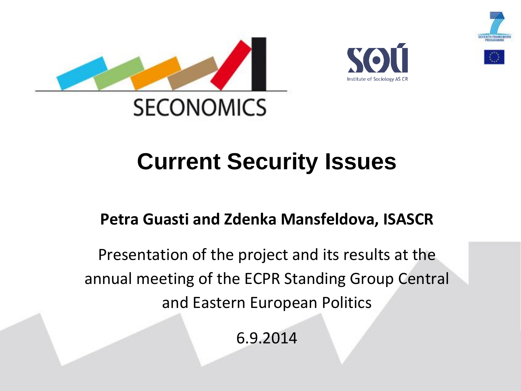





# **Current Security Issues**

### **Petra Guasti and Zdenka Mansfeldova, ISASCR**

Presentation of the project and its results at the annual meeting of the ECPR Standing Group Central and Eastern European Politics

6.9.2014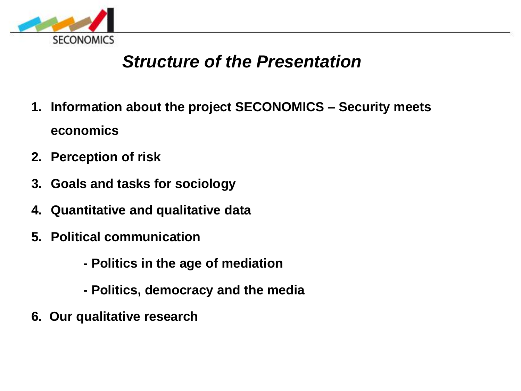

### *Structure of the Presentation*

- **1. Information about the project SECONOMICS – Security meets economics**
- **2. Perception of risk**
- **3. Goals and tasks for sociology**
- **4. Quantitative and qualitative data**
- **5. Political communication**
	- **- Politics in the age of mediation**
	- **- Politics, democracy and the media**
- **6. Our qualitative research**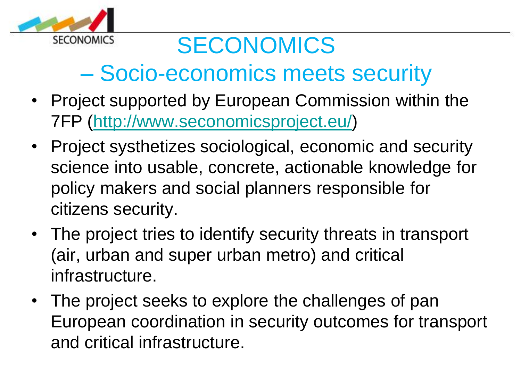

# SECONOMICS

# – Socio-economics meets security

- Project supported by European Commission within the 7FP (<http://www.seconomicsproject.eu/>)
- Project systhetizes sociological, economic and security science into usable, concrete, actionable knowledge for policy makers and social planners responsible for citizens security.
- The project tries to identify security threats in transport (air, urban and super urban metro) and critical infrastructure.
- The project seeks to explore the challenges of pan European coordination in security outcomes for transport and critical infrastructure.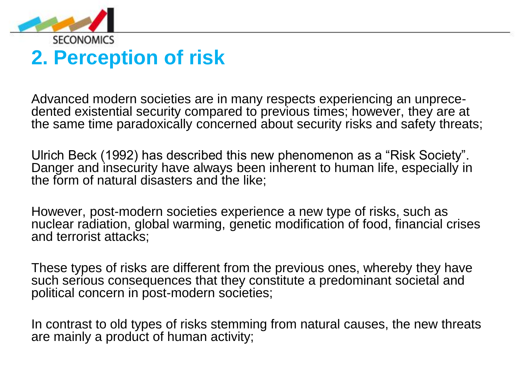

### **2. Perception of risk**

Advanced modern societies are in many respects experiencing an unprecedented existential security compared to previous times; however, they are at the same time paradoxically concerned about security risks and safety threats;

Ulrich Beck (1992) has described this new phenomenon as a "Risk Society". Danger and insecurity have always been inherent to human life, especially in the form of natural disasters and the like;

However, post-modern societies experience a new type of risks, such as nuclear radiation, global warming, genetic modification of food, financial crises and terrorist attacks;

These types of risks are different from the previous ones, whereby they have such serious consequences that they constitute a predominant societal and political concern in post-modern societies;

In contrast to old types of risks stemming from natural causes, the new threats are mainly a product of human activity;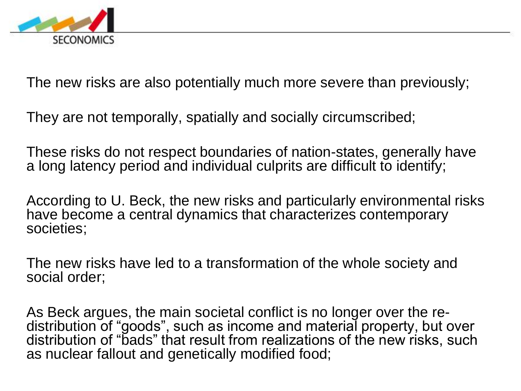

The new risks are also potentially much more severe than previously;

They are not temporally, spatially and socially circumscribed;

These risks do not respect boundaries of nation-states, generally have a long latency period and individual culprits are difficult to identify;

According to U. Beck, the new risks and particularly environmental risks have become a central dynamics that characterizes contemporary societies;

The new risks have led to a transformation of the whole society and social order;

As Beck argues, the main societal conflict is no longer over the redistribution of "goods", such as income and material property, but over distribution of "bads" that result from realizations of the new risks, such as nuclear fallout and genetically modified food;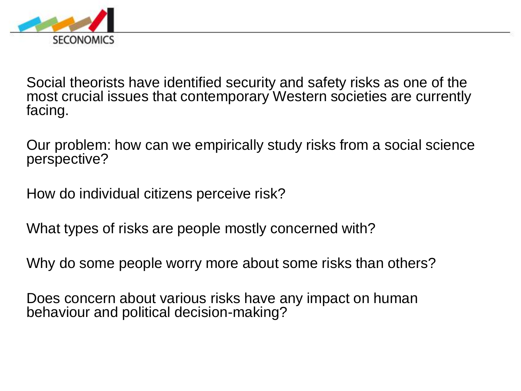

Social theorists have identified security and safety risks as one of the most crucial issues that contemporary Western societies are currently facing.

Our problem: how can we empirically study risks from a social science perspective?

How do individual citizens perceive risk?

What types of risks are people mostly concerned with?

Why do some people worry more about some risks than others?

Does concern about various risks have any impact on human behaviour and political decision-making?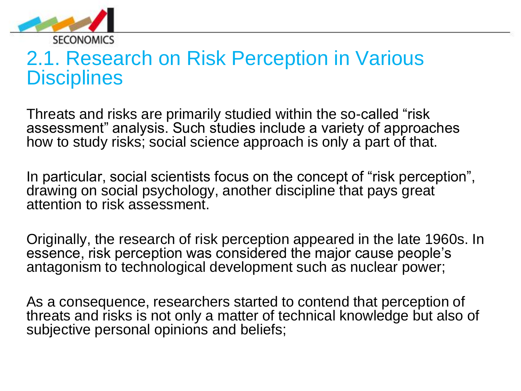

### 2.1. Research on Risk Perception in Various **Disciplines**

Threats and risks are primarily studied within the so-called "risk assessment" analysis. Such studies include a variety of approaches how to study risks; social science approach is only a part of that.

In particular, social scientists focus on the concept of "risk perception", drawing on social psychology, another discipline that pays great attention to risk assessment.

Originally, the research of risk perception appeared in the late 1960s. In essence, risk perception was considered the major cause people's antagonism to technological development such as nuclear power;

As a consequence, researchers started to contend that perception of threats and risks is not only a matter of technical knowledge but also of subjective personal opinions and beliefs;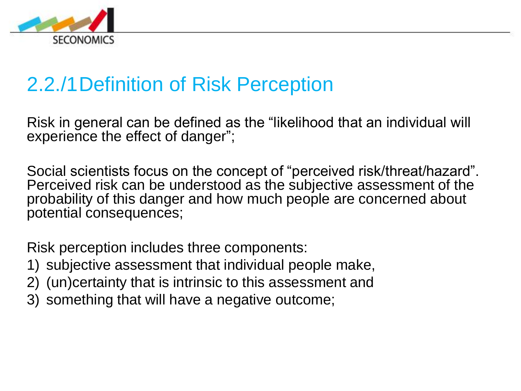

### 2.2./1Definition of Risk Perception

Risk in general can be defined as the "likelihood that an individual will experience the effect of danger";

Social scientists focus on the concept of "perceived risk/threat/hazard". Perceived risk can be understood as the subjective assessment of the probability of this danger and how much people are concerned about potential consequences;

Risk perception includes three components:

- 1) subjective assessment that individual people make,
- 2) (un)certainty that is intrinsic to this assessment and
- 3) something that will have a negative outcome;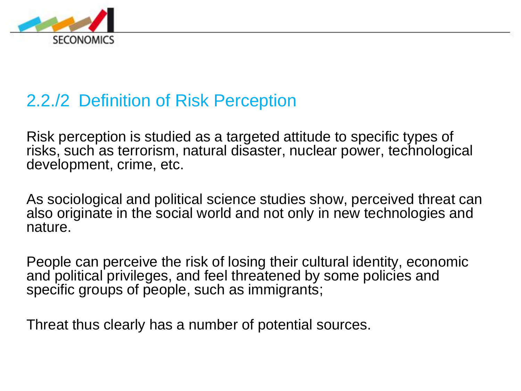

### 2.2./2 Definition of Risk Perception

Risk perception is studied as a targeted attitude to specific types of risks, such as terrorism, natural disaster, nuclear power, technological development, crime, etc.

As sociological and political science studies show, perceived threat can also originate in the social world and not only in new technologies and nature.

People can perceive the risk of losing their cultural identity, economic and political privileges, and feel threatened by some policies and specific groups of people, such as immigrants;

Threat thus clearly has a number of potential sources.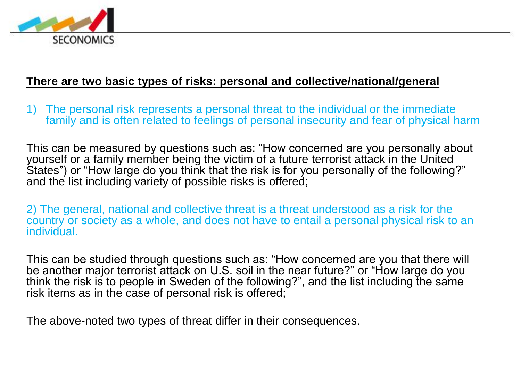

#### **There are two basic types of risks: personal and collective/national/general**

1) The personal risk represents a personal threat to the individual or the immediate family and is often related to feelings of personal insecurity and fear of physical harm

This can be measured by questions such as: "How concerned are you personally about yourself or a family member being the victim of a future terrorist attack in the United States") or "How large do you think that the risk is for you personally of the following?" and the list including variety of possible risks is offered;

2) The general, national and collective threat is a threat understood as a risk for the country or society as a whole, and does not have to entail a personal physical risk to an individual.

This can be studied through questions such as: "How concerned are you that there will be another major terrorist attack on U.S. soil in the near future?" or "How large do you think the risk is to people in Sweden of the following?", and the list including the same risk items as in the case of personal risk is offered;

The above-noted two types of threat differ in their consequences.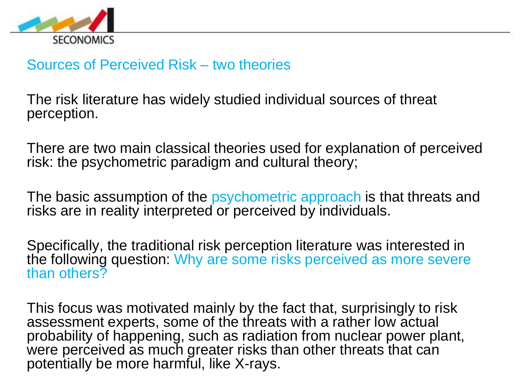

#### Sources of Perceived Risk – two theories

The risk literature has widely studied individual sources of threat perception.

There are two main classical theories used for explanation of perceived risk: the psychometric paradigm and cultural theory;

The basic assumption of the psychometric approach is that threats and risks are in reality interpreted or perceived by individuals.

Specifically, the traditional risk perception literature was interested in the following question: Why are some risks perceived as more severe than others?

This focus was motivated mainly by the fact that, surprisingly to risk assessment experts, some of the threats with a rather low actual probability of happening, such as radiation from nuclear power plant, were perceived as much greater risks than other threats that can potentially be more harmful, like X-rays.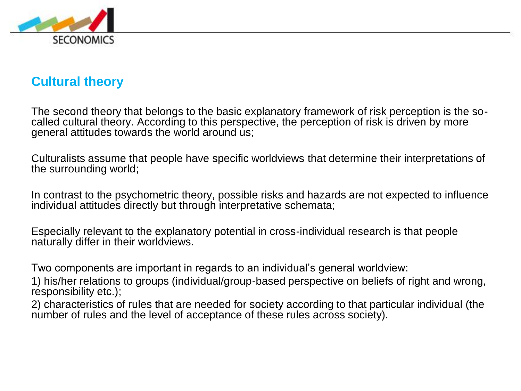

#### **Cultural theory**

The second theory that belongs to the basic explanatory framework of risk perception is the socalled cultural theory. According to this perspective, the perception of risk is driven by more general attitudes towards the world around us;

Culturalists assume that people have specific worldviews that determine their interpretations of the surrounding world;

In contrast to the psychometric theory, possible risks and hazards are not expected to influence individual attitudes directly but through interpretative schemata;

Especially relevant to the explanatory potential in cross-individual research is that people naturally differ in their worldviews.

Two components are important in regards to an individual's general worldview:

1) his/her relations to groups (individual/group-based perspective on beliefs of right and wrong, responsibility etc.);

2) characteristics of rules that are needed for society according to that particular individual (the number of rules and the level of acceptance of these rules across society).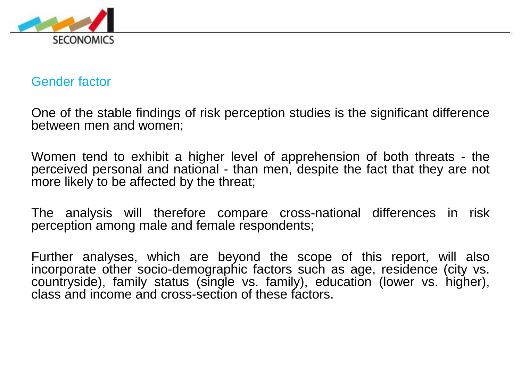

#### Gender factor

One of the stable findings of risk perception studies is the significant difference between men and women;

Women tend to exhibit a higher level of apprehension of both threats - the perceived personal and national - than men, despite the fact that they are not more likely to be affected by the threat;

The analysis will therefore compare cross-national differences in risk perception among male and female respondents;

Further analyses, which are beyond the scope of this report, will also incorporate other socio-demographic factors such as age, residence (city vs. countryside), family status (single vs. family), education (lower vs. higher), class and income and cross-section of these factors.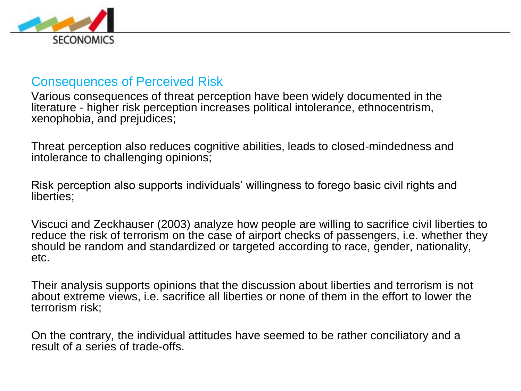

#### Consequences of Perceived Risk

Various consequences of threat perception have been widely documented in the literature - higher risk perception increases political intolerance, ethnocentrism, xenophobia, and prejudices;

Threat perception also reduces cognitive abilities, leads to closed-mindedness and intolerance to challenging opinions;

Risk perception also supports individuals' willingness to forego basic civil rights and liberties;

Viscuci and Zeckhauser (2003) analyze how people are willing to sacrifice civil liberties to reduce the risk of terrorism on the case of airport checks of passengers, i.e. whether they should be random and standardized or targeted according to race, gender, nationality, etc.

Their analysis supports opinions that the discussion about liberties and terrorism is not about extreme views, i.e. sacrifice all liberties or none of them in the effort to lower the terrorism risk;

On the contrary, the individual attitudes have seemed to be rather conciliatory and a result of a series of trade-offs.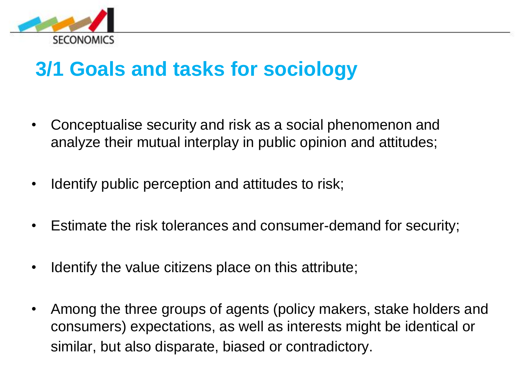

### **3/1 Goals and tasks for sociology**

- Conceptualise security and risk as a social phenomenon and analyze their mutual interplay in public opinion and attitudes;
- Identify public perception and attitudes to risk;
- Estimate the risk tolerances and consumer-demand for security;
- Identify the value citizens place on this attribute;
- Among the three groups of agents (policy makers, stake holders and consumers) expectations, as well as interests might be identical or similar, but also disparate, biased or contradictory.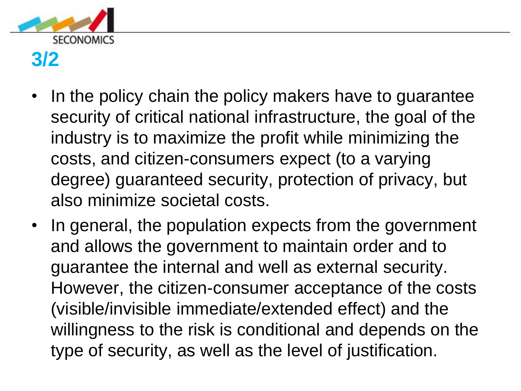

### **3/2**

- In the policy chain the policy makers have to guarantee security of critical national infrastructure, the goal of the industry is to maximize the profit while minimizing the costs, and citizen-consumers expect (to a varying degree) guaranteed security, protection of privacy, but also minimize societal costs.
- In general, the population expects from the government and allows the government to maintain order and to guarantee the internal and well as external security. However, the citizen-consumer acceptance of the costs (visible/invisible immediate/extended effect) and the willingness to the risk is conditional and depends on the type of security, as well as the level of justification.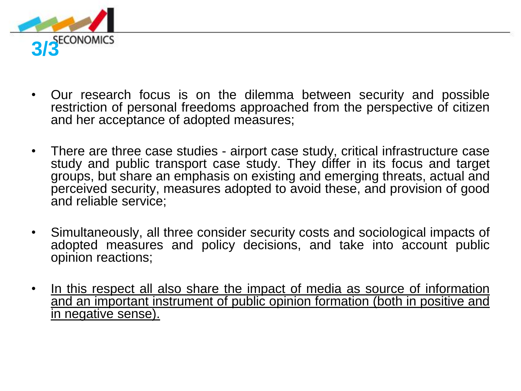

- Our research focus is on the dilemma between security and possible restriction of personal freedoms approached from the perspective of citizen and her acceptance of adopted measures;
- There are three case studies airport case study, critical infrastructure case study and public transport case study. They differ in its focus and target groups, but share an emphasis on existing and emerging threats, actual and perceived security, measures adopted to avoid these, and provision of good and reliable service;
- Simultaneously, all three consider security costs and sociological impacts of adopted measures and policy decisions, and take into account public opinion reactions;
- In this respect all also share the impact of media as source of information and an important instrument of public opinion formation (both in positive and in negative sense).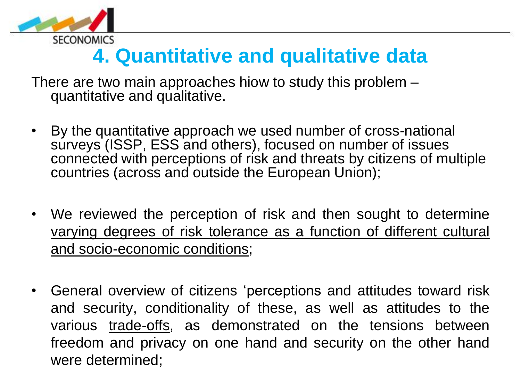

### **4. Quantitative and qualitative data**

There are two main approaches hiow to study this problem – quantitative and qualitative.

- By the quantitative approach we used number of cross-national surveys (ISSP, ESS and others), focused on number of issues connected with perceptions of risk and threats by citizens of multiple countries (across and outside the European Union);
- We reviewed the perception of risk and then sought to determine varying degrees of risk tolerance as a function of different cultural and socio-economic conditions;
- General overview of citizens 'perceptions and attitudes toward risk and security, conditionality of these, as well as attitudes to the various trade-offs, as demonstrated on the tensions between freedom and privacy on one hand and security on the other hand were determined;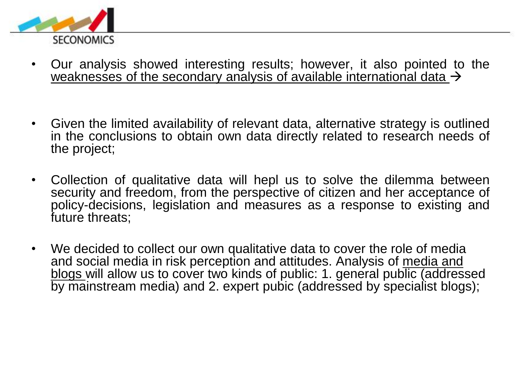

- Our analysis showed interesting results; however, it also pointed to the weaknesses of the secondary analysis of available international data  $\rightarrow$
- Given the limited availability of relevant data, alternative strategy is outlined in the conclusions to obtain own data directly related to research needs of the project;
- Collection of qualitative data will hepl us to solve the dilemma between security and freedom, from the perspective of citizen and her acceptance of policy-decisions, legislation and measures as a response to existing and future threats;
- We decided to collect our own qualitative data to cover the role of media and social media in risk perception and attitudes. Analysis of media and blogs will allow us to cover two kinds of public: 1. general public (addressed by mainstream media) and 2. expert pubic (addressed by specialist blogs);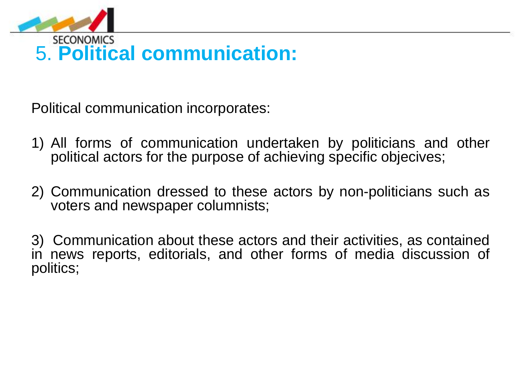

# 5. **Political communication:**

Political communication incorporates:

- 1) All forms of communication undertaken by politicians and other political actors for the purpose of achieving specific objecives;
- 2) Communication dressed to these actors by non-politicians such as voters and newspaper columnists;

3) Communication about these actors and their activities, as contained in news reports, editorials, and other forms of media discussion of politics;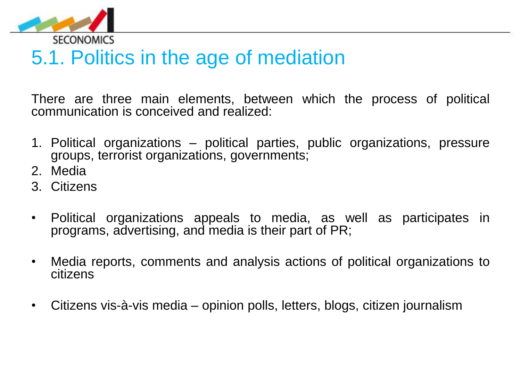

### 5.1. Politics in the age of mediation

There are three main elements, between which the process of political communication is conceived and realized:

- 1. Political organizations political parties, public organizations, pressure groups, terrorist organizations, governments;
- 2. Media
- 3. Citizens
- Political organizations appeals to media, as well as participates in programs, advertising, and media is their part of PR;
- Media reports, comments and analysis actions of political organizations to citizens
- Citizens vis-à-vis media opinion polls, letters, blogs, citizen journalism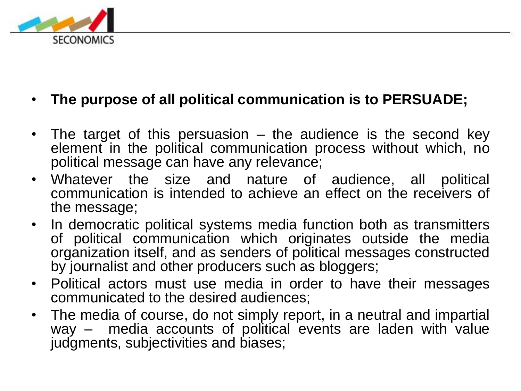

#### • **The purpose of all political communication is to PERSUADE;**

- The target of this persuasion the audience is the second key element in the political communication process without which, no political message can have any relevance;
- Whatever the size and nature of audience, all political communication is intended to achieve an effect on the receivers of the message;
- In democratic political systems media function both as transmitters of political communication which originates outside the media organization itself, and as senders of political messages constructed by journalist and other producers such as bloggers;
- Political actors must use media in order to have their messages communicated to the desired audiences;
- The media of course, do not simply report, in a neutral and impartial way – media accounts of political events are laden with value judgments, subjectivities and biases;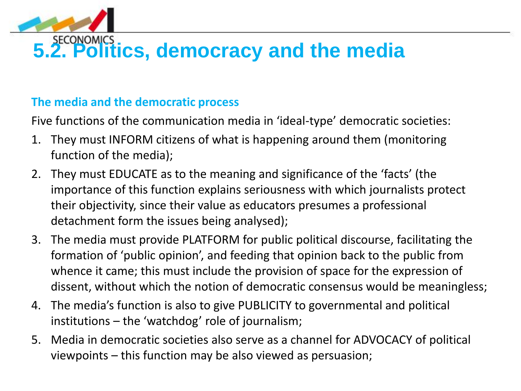

# **5.2. Politics, democracy and the media**

#### **The media and the democratic process**

Five functions of the communication media in 'ideal-type' democratic societies:

- 1. They must INFORM citizens of what is happening around them (monitoring function of the media);
- 2. They must EDUCATE as to the meaning and significance of the 'facts' (the importance of this function explains seriousness with which journalists protect their objectivity, since their value as educators presumes a professional detachment form the issues being analysed);
- 3. The media must provide PLATFORM for public political discourse, facilitating the formation of 'public opinion', and feeding that opinion back to the public from whence it came; this must include the provision of space for the expression of dissent, without which the notion of democratic consensus would be meaningless;
- 4. The media's function is also to give PUBLICITY to governmental and political institutions – the 'watchdog' role of journalism;
- 5. Media in democratic societies also serve as a channel for ADVOCACY of political viewpoints – this function may be also viewed as persuasion;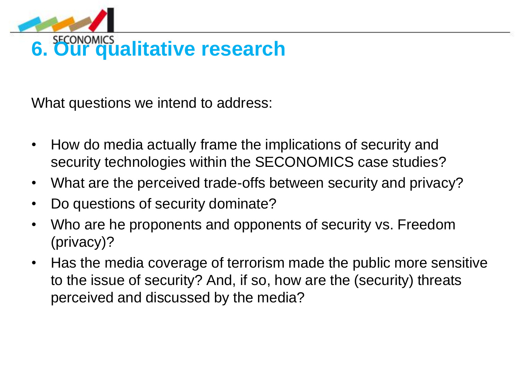

# **6. Our qualitative research**

What questions we intend to address:

- How do media actually frame the implications of security and security technologies within the SECONOMICS case studies?
- What are the perceived trade-offs between security and privacy?
- Do questions of security dominate?
- Who are he proponents and opponents of security vs. Freedom (privacy)?
- Has the media coverage of terrorism made the public more sensitive to the issue of security? And, if so, how are the (security) threats perceived and discussed by the media?